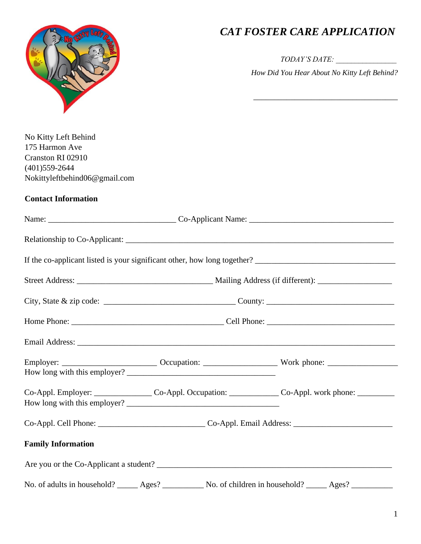

## *CAT FOSTER CARE APPLICATION*

*TODAY'S DATE: \_\_\_\_\_\_\_\_\_\_\_\_\_\_\_\_* 

*How Did You Hear About No Kitty Left Behind?*

\_\_\_\_\_\_\_\_\_\_\_\_\_\_\_\_\_\_\_\_\_\_\_\_\_\_\_\_\_\_\_\_\_\_\_

| No Kitty Left Behind<br>175 Harmon Ave<br>Cranston RI 02910<br>$(401)$ 559-2644<br>Nokittyleftbehind06@gmail.com |  |                                                                                                                |
|------------------------------------------------------------------------------------------------------------------|--|----------------------------------------------------------------------------------------------------------------|
| <b>Contact Information</b>                                                                                       |  |                                                                                                                |
|                                                                                                                  |  |                                                                                                                |
|                                                                                                                  |  |                                                                                                                |
|                                                                                                                  |  |                                                                                                                |
|                                                                                                                  |  |                                                                                                                |
|                                                                                                                  |  |                                                                                                                |
|                                                                                                                  |  |                                                                                                                |
|                                                                                                                  |  |                                                                                                                |
|                                                                                                                  |  |                                                                                                                |
|                                                                                                                  |  | Co-Appl. Employer: ______________________Co-Appl. Occupation: _________________Co-Appl. work phone: __________ |
|                                                                                                                  |  |                                                                                                                |
| <b>Family Information</b>                                                                                        |  |                                                                                                                |

Are you or the Co-Applicant a student? \_\_\_\_\_\_\_\_\_\_\_\_\_\_\_\_\_\_\_\_\_\_\_\_\_\_\_\_\_\_\_\_\_\_\_\_\_\_\_\_\_\_\_\_\_\_\_\_\_\_\_\_\_\_\_\_\_

No. of adults in household? \_\_\_\_\_ Ages? \_\_\_\_\_\_\_\_\_ No. of children in household? \_\_\_\_\_ Ages? \_\_\_\_\_\_\_\_\_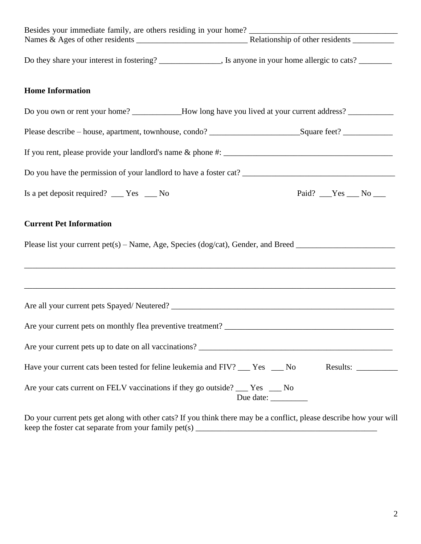| Besides your immediate family, are others residing in your home?<br>Names & Ages of other residents<br>Names & Ages of other residents |                       |
|----------------------------------------------------------------------------------------------------------------------------------------|-----------------------|
| Do they share your interest in fostering? _________________, Is anyone in your home allergic to cats? __________                       |                       |
| <b>Home Information</b>                                                                                                                |                       |
| Do you own or rent your home? __________How long have you lived at your current address? __________                                    |                       |
| Please describe – house, apartment, townhouse, condo? ___________________________Square feet? ________________                         |                       |
|                                                                                                                                        |                       |
|                                                                                                                                        |                       |
| Is a pet deposit required? $\_\_\_\$ Yes $\_\_\_\$ No                                                                                  | Paid? $Yes$ No $\_\_$ |
| <b>Current Pet Information</b>                                                                                                         |                       |
| Please list your current pet(s) – Name, Age, Species (dog/cat), Gender, and Breed ____________________________                         |                       |
|                                                                                                                                        |                       |
|                                                                                                                                        |                       |
|                                                                                                                                        |                       |
| Are your current pets on monthly flea preventive treatment?                                                                            |                       |
| Are your current pets up to date on all vaccinations?                                                                                  |                       |
| Have your current cats been tested for feline leukemia and FIV? ___ Yes ___ No                                                         | Results:              |
| Are your cats current on FELV vaccinations if they go outside? _____ Yes _____ No                                                      | Due date:             |

Do your current pets get along with other cats? If you think there may be a conflict, please describe how your will keep the foster cat separate from your family pet(s) \_\_\_\_\_\_\_\_\_\_\_\_\_\_\_\_\_\_\_\_\_\_\_\_\_\_\_\_\_\_\_\_\_\_\_\_\_\_\_\_\_\_\_\_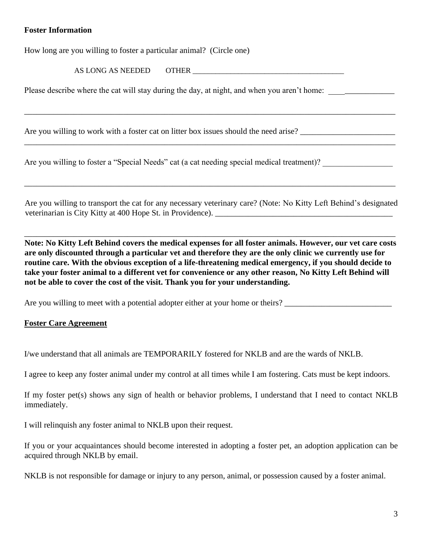## **Foster Information**

How long are you willing to foster a particular animal? (Circle one)

AS LONG AS NEEDED OTHER

\_\_\_\_\_\_\_\_\_\_\_\_\_\_\_\_\_\_\_\_\_\_\_\_\_\_\_\_\_\_\_\_\_\_\_\_\_\_\_\_\_\_\_\_\_\_\_\_\_\_\_\_\_\_\_\_\_\_\_\_\_\_\_\_\_\_\_\_\_\_\_\_\_\_\_\_\_\_\_\_\_\_\_\_\_\_\_\_\_\_

\_\_\_\_\_\_\_\_\_\_\_\_\_\_\_\_\_\_\_\_\_\_\_\_\_\_\_\_\_\_\_\_\_\_\_\_\_\_\_\_\_\_\_\_\_\_\_\_\_\_\_\_\_\_\_\_\_\_\_\_\_\_\_\_\_\_\_\_\_\_\_\_\_\_\_\_\_\_\_\_\_\_\_\_\_\_\_\_\_\_

Please describe where the cat will stay during the day, at night, and when you aren't home: \_\_\_\_\_\_\_\_\_\_\_\_\_\_\_\_\_\_

Are you willing to work with a foster cat on litter box issues should the need arise?

Are you willing to foster a "Special Needs" cat (a cat needing special medical treatment)?

Are you willing to transport the cat for any necessary veterinary care? (Note: No Kitty Left Behind's designated veterinarian is City Kitty at 400 Hope St. in Providence).

\_\_\_\_\_\_\_\_\_\_\_\_\_\_\_\_\_\_\_\_\_\_\_\_\_\_\_\_\_\_\_\_\_\_\_\_\_\_\_\_\_\_\_\_\_\_\_\_\_\_\_\_\_\_\_\_\_\_\_\_\_\_\_\_\_\_\_\_\_\_\_\_\_\_\_\_\_\_\_\_\_\_\_\_\_\_\_\_\_\_

\_\_\_\_\_\_\_\_\_\_\_\_\_\_\_\_\_\_\_\_\_\_\_\_\_\_\_\_\_\_\_\_\_\_\_\_\_\_\_\_\_\_\_\_\_\_\_\_\_\_\_\_\_\_\_\_\_\_\_\_\_\_\_\_\_\_\_\_\_\_\_\_\_\_\_\_\_\_\_\_\_\_\_\_\_\_\_\_\_\_

**Note: No Kitty Left Behind covers the medical expenses for all foster animals. However, our vet care costs are only discounted through a particular vet and therefore they are the only clinic we currently use for routine care. With the obvious exception of a life-threatening medical emergency, if you should decide to take your foster animal to a different vet for convenience or any other reason, No Kitty Left Behind will not be able to cover the cost of the visit. Thank you for your understanding.** 

Are you willing to meet with a potential adopter either at your home or theirs?

## **Foster Care Agreement**

I/we understand that all animals are TEMPORARILY fostered for NKLB and are the wards of NKLB.

I agree to keep any foster animal under my control at all times while I am fostering. Cats must be kept indoors.

If my foster pet(s) shows any sign of health or behavior problems, I understand that I need to contact NKLB immediately.

I will relinquish any foster animal to NKLB upon their request.

If you or your acquaintances should become interested in adopting a foster pet, an adoption application can be acquired through NKLB by email.

NKLB is not responsible for damage or injury to any person, animal, or possession caused by a foster animal.